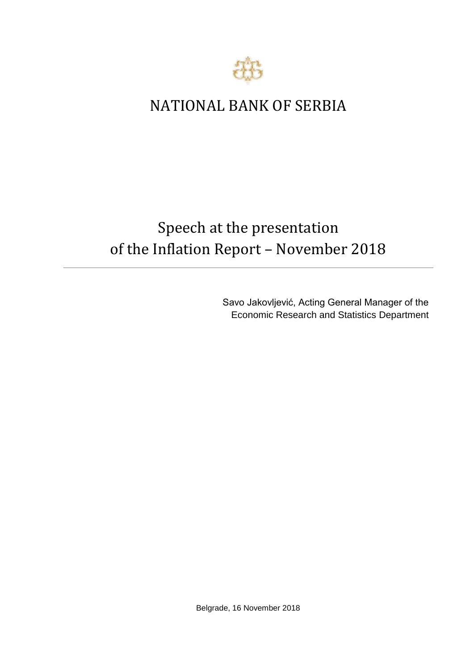

## NATIONAL BANK OF SERBIA

## Speech at the presentation of the Inflation Report – November 2018

Savo Jakovljević, Acting General Manager of the Economic Research and Statistics Department

Belgrade, 16 November 2018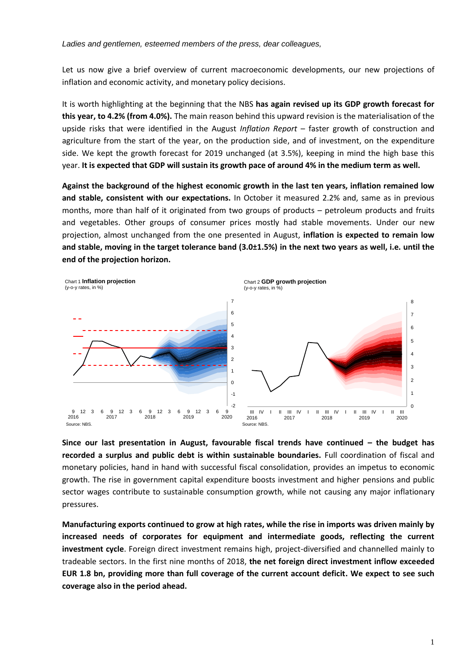Let us now give a brief overview of current macroeconomic developments, our new projections of inflation and economic activity, and monetary policy decisions.

It is worth highlighting at the beginning that the NBS **has again revised up its GDP growth forecast for this year, to 4.2% (from 4.0%).** The main reason behind this upward revision is the materialisation of the upside risks that were identified in the August *Inflation Report* – faster growth of construction and agriculture from the start of the year, on the production side, and of investment, on the expenditure side. We kept the growth forecast for 2019 unchanged (at 3.5%), keeping in mind the high base this year. **It is expected that GDP will sustain its growth pace of around 4% in the medium term as well.** 

**Against the background of the highest economic growth in the last ten years, inflation remained low and stable, consistent with our expectations.** In October it measured 2.2% and, same as in previous months, more than half of it originated from two groups of products – petroleum products and fruits and vegetables. Other groups of consumer prices mostly had stable movements. Under our new projection, almost unchanged from the one presented in August, **inflation is expected to remain low and stable, moving in the target tolerance band (3.0±1.5%) in the next two years as well, i.e. until the end of the projection horizon.**



**Since our last presentation in August, favourable fiscal trends have continued – the budget has recorded a surplus and public debt is within sustainable boundaries.** Full coordination of fiscal and monetary policies, hand in hand with successful fiscal consolidation, provides an impetus to economic growth. The rise in government capital expenditure boosts investment and higher pensions and public sector wages contribute to sustainable consumption growth, while not causing any major inflationary pressures.

**Manufacturing exports continued to grow at high rates, while the rise in imports was driven mainly by increased needs of corporates for equipment and intermediate goods, reflecting the current investment cycle**. Foreign direct investment remains high, project-diversified and channelled mainly to tradeable sectors. In the first nine months of 2018, **the net foreign direct investment inflow exceeded EUR 1.8 bn, providing more than full coverage of the current account deficit. We expect to see such coverage also in the period ahead.**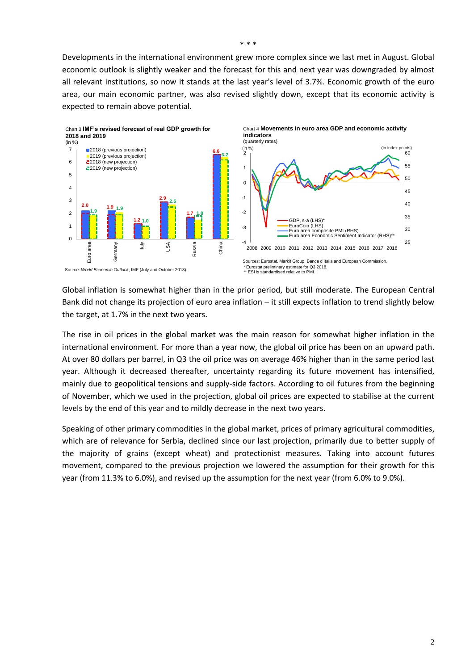Developments in the international environment grew more complex since we last met in August. Global economic outlook is slightly weaker and the forecast for this and next year was downgraded by almost all relevant institutions, so now it stands at the last year's level of 3.7%. Economic growth of the euro area, our main economic partner, was also revised slightly down, except that its economic activity is expected to remain above potential.



Global inflation is somewhat higher than in the prior period, but still moderate. The European Central Bank did not change its projection of euro area inflation – it still expects inflation to trend slightly below the target, at 1.7% in the next two years.

The rise in oil prices in the global market was the main reason for somewhat higher inflation in the international environment. For more than a year now, the global oil price has been on an upward path. At over 80 dollars per barrel, in Q3 the oil price was on average 46% higher than in the same period last year. Although it decreased thereafter, uncertainty regarding its future movement has intensified, mainly due to geopolitical tensions and supply-side factors. According to oil futures from the beginning of November, which we used in the projection, global oil prices are expected to stabilise at the current levels by the end of this year and to mildly decrease in the next two years.

Speaking of other primary commodities in the global market, prices of primary agricultural commodities, which are of relevance for Serbia, declined since our last projection, primarily due to better supply of the majority of grains (except wheat) and protectionist measures. Taking into account futures movement, compared to the previous projection we lowered the assumption for their growth for this year (from 11.3% to 6.0%), аnd revised up the assumption for the next year (from 6.0% to 9.0%).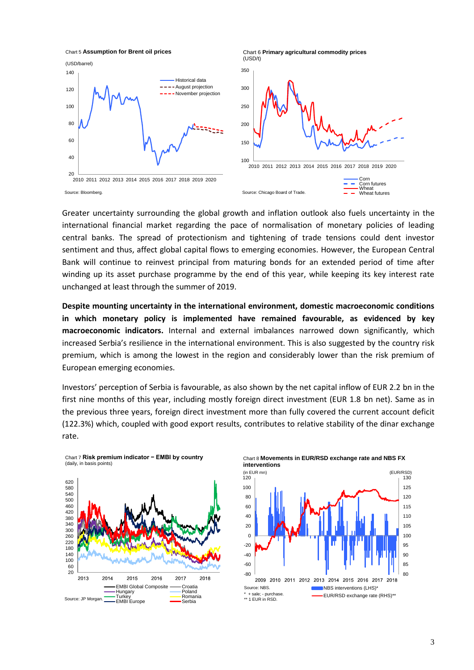

Greater uncertainty surrounding the global growth and inflation outlook also fuels uncertainty in the international financial market regarding the pace of normalisation of monetary policies of leading central banks. The spread of protectionism and tightening of trade tensions could dent investor sentiment and thus, affect global capital flows to emerging economies. However, the European Central Bank will continue to reinvest principal from maturing bonds for an extended period of time after winding up its asset purchase programme by the end of this year, while keeping its key interest rate unchanged at least through the summer of 2019.

**Despite mounting uncertainty in the international environment, domestic macroeconomic conditions in which monetary policy is implemented have remained favourable, as evidenced by key macroeconomic indicators.** Internal and external imbalances narrowed down significantly, which increased Serbia's resilience in the international environment. This is also suggested by the country risk premium, which is among the lowest in the region and considerably lower than the risk premium of European emerging economies.

Investors' perception of Serbia is favourable, as also shown by the net capital inflow of EUR 2.2 bn in the first nine months of this year, including mostly foreign direct investment (EUR 1.8 bn net). Same as in the previous three years, foreign direct investment more than fully covered the current account deficit (122.3%) which, coupled with good export results, contributes to relative stability of the dinar exchange rate.



Chart 7 **Risk premium indicator − EMBI by country**  (daily, in basis points)

Chart 8 **Movements in EUR/RSD exchange rate and NBS FX interventions**

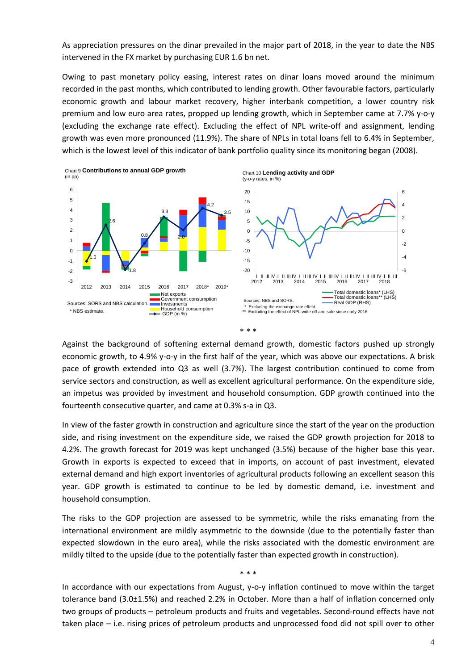As appreciation pressures on the dinar prevailed in the major part of 2018, in the year to date the NBS intervened in the FX market by purchasing EUR 1.6 bn net.

Owing to past monetary policy easing, interest rates on dinar loans moved around the minimum recorded in the past months, which contributed to lending growth. Other favourable factors, particularly economic growth and labour market recovery, higher interbank competition, a lower country risk premium and low euro area rates, propped up lending growth, which in September came at 7.7% y-o-y (excluding the exchange rate effect). Excluding the effect of NPL write-off and assignment, lending growth was even more pronounced (11.9%). The share of NPLs in total loans fell to 6.4% in September, which is the lowest level of this indicator of bank portfolio quality since its monitoring began (2008).



Against the background of softening external demand growth, domestic factors pushed up strongly economic growth, to 4.9% y-o-y in the first half of the year, which was above our expectations. A brisk pace of growth extended into Q3 as well (3.7%). The largest contribution continued to come from service sectors and construction, as well as excellent agricultural performance. On the expenditure side, an impetus was provided by investment and household consumption. GDP growth continued into the fourteenth consecutive quarter, and came at 0.3% s-a in Q3.

In view of the faster growth in construction and agriculture since the start of the year on the production side, and rising investment on the expenditure side, we raised the GDP growth projection for 2018 to 4.2%. The growth forecast for 2019 was kept unchanged (3.5%) because of the higher base this year. Growth in exports is expected to exceed that in imports, on account of past investment, elevated external demand and high export inventories of agricultural products following an excellent season this year. GDP growth is estimated to continue to be led by domestic demand, i.e. investment and household consumption.

The risks to the GDP projection are assessed to be symmetric, while the risks emanating from the international environment are mildly asymmetric to the downside (due to the potentially faster than expected slowdown in the euro area), while the risks associated with the domestic environment are mildly tilted to the upside (due to the potentially faster than expected growth in construction).

\* \* \*

In accordance with our expectations from August, y-o-y inflation continued to move within the target tolerance band (3.0±1.5%) and reached 2.2% in October. More than a half of inflation concerned only two groups of products – petroleum products and fruits and vegetables. Second-round effects have not taken place – i.e. rising prices of petroleum products and unprocessed food did not spill over to other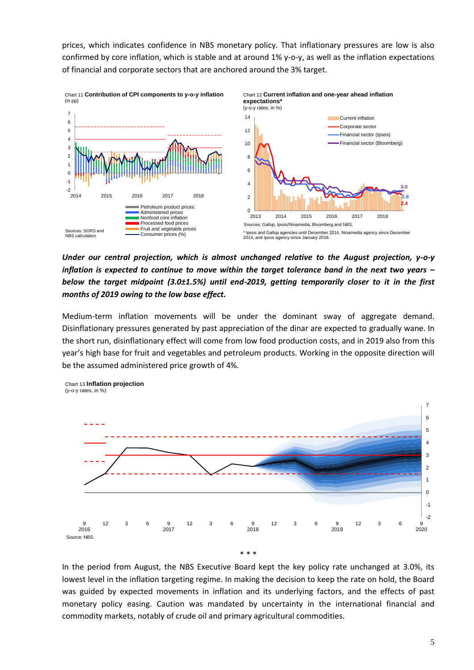prices, which indicates confidence in NBS monetary policy. That inflationary pressures are low is also confirmed by core inflation, which is stable and at around 1% y-o-y, as well as the inflation expectations of financial and corporate sectors that are anchored around the 3% target.



*Under our central projection, which is almost unchanged relative to the August projection, y-o-y inflation is expected to continue to move within the target tolerance band in the next two years – below the target midpoint (3.0±1.5%) until end-2019, getting temporarily closer to it in the first months of 2019 owing to the low base effect.* 

Medium-term inflation movements will be under the dominant sway of aggregate demand. Disinflationary pressures generated by past appreciation of the dinar are expected to gradually wane. In the short run, disinflationary effect will come from low food production costs, and in 2019 also from this year's high base for fruit and vegetables and petroleum products. Working in the opposite direction will be the assumed administered price growth of 4%.



In the period from August, the NBS Executive Board kept the key policy rate unchanged at 3.0%, its lowest level in the inflation targeting regime. In making the decision to keep the rate on hold, the Board was guided by expected movements in inflation and its underlying factors, and the effects of past monetary policy easing. Caution was mandated by uncertainty in the international financial and commodity markets, notably of crude oil and primary agricultural commodities.